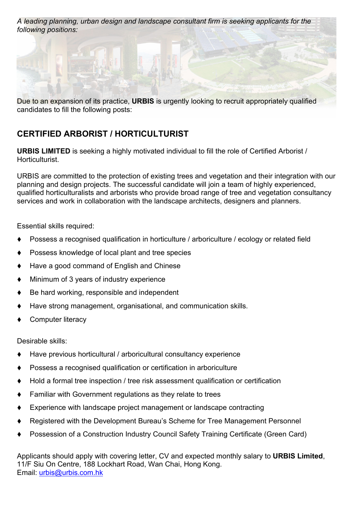*A leading planning, urban design and landscape consultant firm is seeking applicants for the following positions:*



Due to an expansion of its practice, **URBIS** is urgently looking to recruit appropriately qualified candidates to fill the following posts:

## **CERTIFIED ARBORIST / HORTICULTURIST**

**URBIS LIMITED** is seeking a highly motivated individual to fill the role of Certified Arborist / Horticulturist.

URBIS are committed to the protection of existing trees and vegetation and their integration with our planning and design projects. The successful candidate will join a team of highly experienced, qualified horticulturalists and arborists who provide broad range of tree and vegetation consultancy services and work in collaboration with the landscape architects, designers and planners.

Essential skills required:

- Possess a recognised qualification in horticulture / arboriculture / ecology or related field
- Possess knowledge of local plant and tree species
- Have a good command of English and Chinese
- Minimum of 3 years of industry experience
- Be hard working, responsible and independent
- Have strong management, organisational, and communication skills.
- Computer literacy

Desirable skills:

- Have previous horticultural / arboricultural consultancy experience
- Possess a recognised qualification or certification in arboriculture
- $\blacklozenge$  Hold a formal tree inspection / tree risk assessment qualification or certification
- Familiar with Government regulations as they relate to trees
- Experience with landscape project management or landscape contracting
- Registered with the Development Bureau's Scheme for Tree Management Personnel
- Possession of a Construction Industry Council Safety Training Certificate (Green Card)

Applicants should apply with covering letter, CV and expected monthly salary to **URBIS Limited**, 11/F Siu On Centre, 188 Lockhart Road, Wan Chai, Hong Kong. Email: [urbis@urbis.com.hk](mailto:urbis@urbis.com.hk)